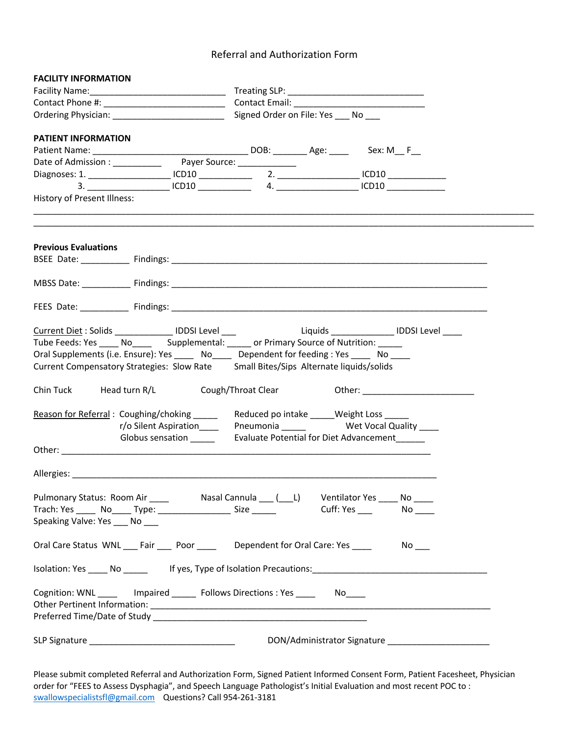## Referral and Authorization Form

| <b>FACILITY INFORMATION</b>                                                                                                                                                                                                                                                                                                                                    |  |                                                                                            |  |
|----------------------------------------------------------------------------------------------------------------------------------------------------------------------------------------------------------------------------------------------------------------------------------------------------------------------------------------------------------------|--|--------------------------------------------------------------------------------------------|--|
|                                                                                                                                                                                                                                                                                                                                                                |  |                                                                                            |  |
|                                                                                                                                                                                                                                                                                                                                                                |  |                                                                                            |  |
| Signed Order on File: Yes ____ No ___<br>Ordering Physician: 1997 - 1997 - 1998 - 1999 - 1999 - 1999 - 1999 - 1999 - 1999 - 1999 - 1999 - 199                                                                                                                                                                                                                  |  |                                                                                            |  |
| PATIENT INFORMATION                                                                                                                                                                                                                                                                                                                                            |  |                                                                                            |  |
|                                                                                                                                                                                                                                                                                                                                                                |  |                                                                                            |  |
|                                                                                                                                                                                                                                                                                                                                                                |  |                                                                                            |  |
|                                                                                                                                                                                                                                                                                                                                                                |  |                                                                                            |  |
| $3. \begin{tabular}{@{}c@{}} \hline \rule{0.2cm}{0.4cm} \rule{0.2cm}{0.4cm} \rule{0.2cm}{0.4cm} \rule{0.2cm}{0.4cm} \rule{0.2cm}{0.4cm} \rule{0.2cm}{0.4cm} \rule{0.2cm}{0.4cm} \rule{0.2cm}{0.4cm} \rule{0.2cm}{0.4cm} \rule{0.2cm}{0.4cm} \rule{0.2cm}{0.4cm} \rule{0.2cm}{0.4cm} \rule{0.2cm}{0.4cm} \rule{0.2cm}{0.4cm} \rule{0.2cm}{0.4cm} \rule{0.2cm}{$ |  |                                                                                            |  |
| History of Present Illness:                                                                                                                                                                                                                                                                                                                                    |  |                                                                                            |  |
|                                                                                                                                                                                                                                                                                                                                                                |  |                                                                                            |  |
| <b>Previous Evaluations</b>                                                                                                                                                                                                                                                                                                                                    |  |                                                                                            |  |
|                                                                                                                                                                                                                                                                                                                                                                |  |                                                                                            |  |
|                                                                                                                                                                                                                                                                                                                                                                |  |                                                                                            |  |
|                                                                                                                                                                                                                                                                                                                                                                |  |                                                                                            |  |
| Oral Supplements (i.e. Ensure): Yes ______ No______ Dependent for feeding : Yes _____ No _____<br>Current Compensatory Strategies: Slow Rate Small Bites/Sips Alternate liquids/solids                                                                                                                                                                         |  |                                                                                            |  |
| Chin Tuck Head turn R/L Cough/Throat Clear Other: 011 012                                                                                                                                                                                                                                                                                                      |  |                                                                                            |  |
| Reason for Referral: Coughing/choking _____<br>r/o Silent Aspiration____<br>Globus sensation ______                                                                                                                                                                                                                                                            |  | Reduced po intake _____Weight Loss _____<br><b>Evaluate Potential for Diet Advancement</b> |  |
|                                                                                                                                                                                                                                                                                                                                                                |  |                                                                                            |  |
|                                                                                                                                                                                                                                                                                                                                                                |  |                                                                                            |  |
| Trach: Yes ______ No_____ Type: _____________________ Size ______<br>Speaking Valve: Yes ____ No                                                                                                                                                                                                                                                               |  | Cuff: Yes _____    No _____                                                                |  |
| Oral Care Status WNL ___ Fair ____ Poor _____ Dependent for Oral Care: Yes                                                                                                                                                                                                                                                                                     |  | <b>No.</b>                                                                                 |  |
| Isolation: Yes ______ No ___________ If yes, Type of Isolation Precautions: __________________________________                                                                                                                                                                                                                                                 |  |                                                                                            |  |
| Cognition: WNL _______ Impaired _______ Follows Directions : Yes _____ No_____                                                                                                                                                                                                                                                                                 |  |                                                                                            |  |
|                                                                                                                                                                                                                                                                                                                                                                |  |                                                                                            |  |

Please submit completed Referral and Authorization Form, Signed Patient Informed Consent Form, Patient Facesheet, Physician order for "FEES to Assess Dysphagia", and Speech Language Pathologist's Initial Evaluation and most recent POC to : swallowspecialistsfl@gmail.com Questions? Call 954-261-3181